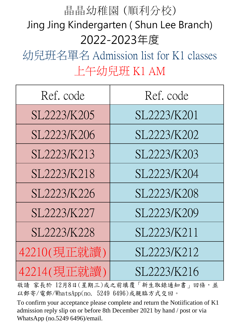## 晶晶幼稚園 (順利分校) Jing Jing Kindergarten ( Shun Lee Branch) 2022-2023年度

幼兒班名單名 Admission list for K1 classes 上午幼兒班 K1 AM

| Ref. code   | Ref. code   |
|-------------|-------------|
| SL2223/K205 | SL2223/K201 |
| SL2223/K206 | SL2223/K202 |
| SL2223/K213 | SL2223/K203 |
| SL2223/K218 | SL2223/K204 |
| SL2223/K226 | SL2223/K208 |
| SL2223/K227 | SL2223/K209 |
| SL2223/K228 | SL2223/K211 |
| 42210(現正就讀) | SL2223/K212 |
| 42214(現正就讀) | SL2223/K216 |

故請 家長於 12月8日(星期三)或之前填覆「新生取錄通知書」回條,並 以郵寄/電郵/WhatsApp(no. 5249 6496)或親臨方式交回。

To confirm your acceptance please complete and return the Notiification of K1 admission reply slip on or before 8th December 2021 by hand / post or via WhatsApp (no.5249 6496)/email.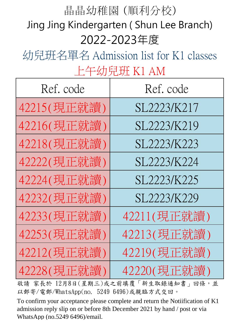## 2022-2023年度 晶晶幼稚園 (順利分校) Jing Jing Kindergarten ( Shun Lee Branch)

幼兒班名單名 Admission list for K1 classes 上午幼兒班 K1 AM

| Ref. code   | Ref. code   |
|-------------|-------------|
| 42215(現正就讀) | SL2223/K217 |
| 42216(現正就讀) | SL2223/K219 |
| 42218(現正就讀) | SL2223/K223 |
| 42222(現正就讀) | SL2223/K224 |
| 42224(現正就讀) | SL2223/K225 |
| 42232(現正就讀) | SL2223/K229 |
| 42233(現正就讀) | 42211(現正就讀) |
| 42253(現正就讀) | 42213(現正就讀) |
| 42212(現正就讀) | 42219(現正就讀) |
| 42228(現正就讀) | 42220(現正就讀) |

故請 家長於 12月8日(星期三)或之前填覆「新生取錄通知書」回條,並 以郵寄/電郵/WhatsApp(no. 5249 6496)或親臨方式交回。

To confirm your acceptance please complete and return the Notiification of K1 admission reply slip on or before 8th December 2021 by hand / post or via WhatsApp (no.5249 6496)/email.